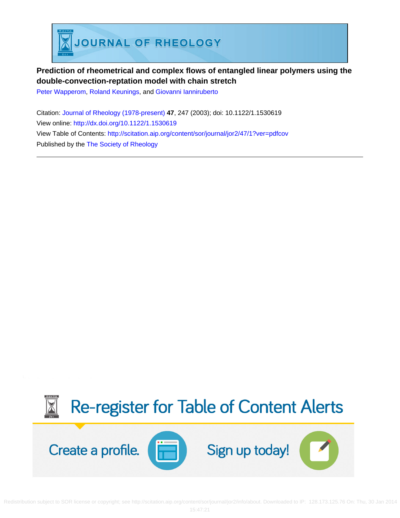

# **Prediction of rheometrical and complex flows of entangled linear polymers using the double-convection-reptation model with chain stretch**

[Peter Wapperom,](http://scitation.aip.org/search?value1=Peter+Wapperom&option1=author) [Roland Keunings](http://scitation.aip.org/search?value1=Roland+Keunings&option1=author), and [Giovanni Ianniruberto](http://scitation.aip.org/search?value1=Giovanni+Ianniruberto&option1=author)

Citation: [Journal of Rheology \(1978-present\)](http://scitation.aip.org/content/sor/journal/jor2?ver=pdfcov) **47**, 247 (2003); doi: 10.1122/1.1530619 View online: <http://dx.doi.org/10.1122/1.1530619> View Table of Contents: <http://scitation.aip.org/content/sor/journal/jor2/47/1?ver=pdfcov> Published by the [The Society of Rheology](http://scitation.aip.org/content/sor?ver=pdfcov)



Redistribution subject to SOR license or copyright; see http://scitation.aip.org/content/sor/journal/jor2/info/about. Downloaded to IP: 128.173.125.76 On: Thu, 30 Jan 2014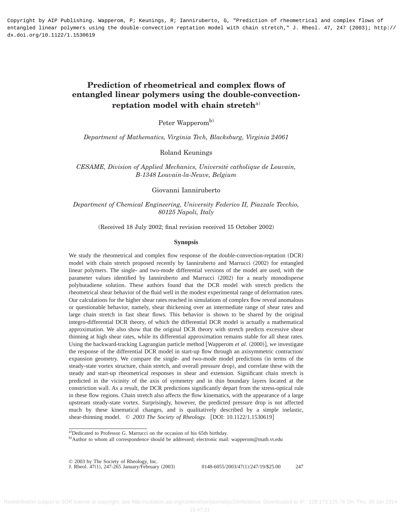Copyright by AIP Publishing. Wapperom, P; Keunings, R; Ianniruberto, G, "Prediction of rheometrical and complex flows of entangled linear polymers using the double-convection reptation model with chain stretch," J. Rheol. 47, 247 (2003); http:// dx.doi.org/10.1122/1.1530619

# **Prediction of rheometrical and complex flows of entangled linear polymers using the double-convectionreptation model with chain stretch**a)

Peter Wapperom<sup>b)</sup>

*Department of Mathematics, Virginia Tech, Blacksburg, Virginia 24061*

Roland Keunings

*CESAME, Division of Applied Mechanics, Universite´ catholique de Louvain, B-1348 Louvain-la-Neuve, Belgium*

Giovanni Ianniruberto

# *Department of Chemical Engineering, University Federico II, Piazzale Tecchio, 80125 Napoli, Italy*

#### (Received 18 July 2002; final revision received 15 October 2002)

#### **Synopsis**

We study the rheometrical and complex flow response of the double-convection-reptation (DCR) model with chain stretch proposed recently by Ianniruberto and Marrucci (2002) for entangled linear polymers. The single- and two-mode differential versions of the model are used, with the parameter values identified by Ianniruberto and Marrucci (2002) for a nearly monodisperse polybutadiene solution. These authors found that the DCR model with stretch predicts the rheometrical shear behavior of the fluid well in the modest experimental range of deformation rates. Our calculations for the higher shear rates reached in simulations of complex flow reveal anomalous or questionable behavior, namely, shear thickening over an intermediate range of shear rates and large chain stretch in fast shear flows. This behavior is shown to be shared by the original integro-differential DCR theory, of which the differential DCR model is actually a mathematical approximation. We also show that the original DCR theory with stretch predicts excessive shear thinning at high shear rates, while its differential approximation remains stable for all shear rates. Using the backward-tracking Lagrangian particle method [Wapperom *et al.* (2000)], we investigate the response of the differential DCR model in start-up flow through an axisymmetric contraction/ expansion geometry. We compare the single- and two-mode model predictions (in terms of the steady-state vortex structure, chain stretch, and overall pressure drop), and correlate these with the steady and start-up rheometrical responses in shear and extension. Significant chain stretch is predicted in the vicinity of the axis of symmetry and in thin boundary layers located at the constriction wall. As a result, the DCR predictions significantly depart from the stress-optical rule in these flow regions. Chain stretch also affects the flow kinematics, with the appearance of a large upstream steady-state vortex. Surprisingly, however, the predicted pressure drop is not affected much by these kinematical changes, and is qualitatively described by a simple inelastic, shear-thinning model. © 2003 The Society of Rheology. [DOI: 10.1122/1.1530619]

a)Dedicated to Professor G. Marrucci on the occasion of his 65th birthday.

b)Author to whom all correspondence should be addressed; electronic mail: wapperom@math.vt.edu

<sup>© 2003</sup> by The Society of Rheology, Inc.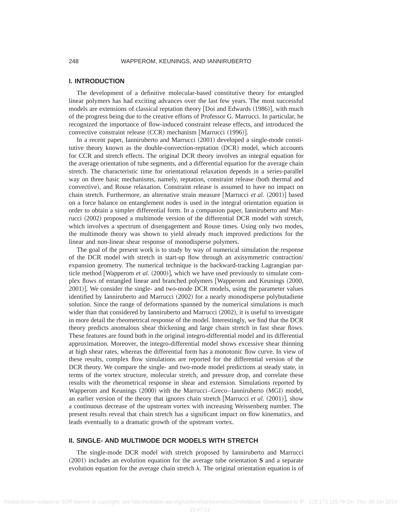### **I. INTRODUCTION**

The development of a definitive molecular-based constitutive theory for entangled linear polymers has had exciting advances over the last few years. The most successful models are extensions of classical reptation theory  $[Doi]$  and Edwards  $(1986)]$ , with much of the progress being due to the creative efforts of Professor G. Marrucci. In particular, he recognized the importance of flow-induced constraint release effects, and introduced the convective constraint release  $(CCR)$  mechanism [Marrucci  $(1996)$ ].

In a recent paper, Ianniruberto and Marrucci (2001) developed a single-mode constitutive theory known as the double-convection-reptation (DCR) model, which accounts for CCR and stretch effects. The original DCR theory involves an integral equation for the average orientation of tube segments, and a differential equation for the average chain stretch. The characteristic time for orientational relaxation depends in a series-parallel way on three basic mechanisms, namely, reptation, constraint release (both thermal and convective), and Rouse relaxation. Constraint release is assumed to have no impact on chain stretch. Furthermore, an alternative strain measure [Marrucci *et al.*  $(2001)$ ] based on a force balance on entanglement nodes is used in the integral orientation equation in order to obtain a simpler differential form. In a companion paper, Ianniruberto and Marrucci  $(2002)$  proposed a multimode version of the differential DCR model with stretch, which involves a spectrum of disengagement and Rouse times. Using only two modes, the multimode theory was shown to yield already much improved predictions for the linear and non-linear shear response of monodisperse polymers.

The goal of the present work is to study by way of numerical simulation the response of the DCR model with stretch in start-up flow through an axisymmetric contraction/ expansion geometry. The numerical technique is the backward-tracking Lagrangian particle method [Wapperom *et al.*  $(2000)$ ], which we have used previously to simulate complex flows of entangled linear and branched polymers [Wapperom and Keunings  $(2000,$ 2001)]. We consider the single- and two-mode DCR models, using the parameter values identified by Ianniruberto and Marrucci  $(2002)$  for a nearly monodisperse polybutadiene solution. Since the range of deformations spanned by the numerical simulations is much wider than that considered by Ianniruberto and Marrucci  $(2002)$ , it is useful to investigate in more detail the rheometrical response of the model. Interestingly, we find that the DCR theory predicts anomalous shear thickening and large chain stretch in fast shear flows. These features are found both in the original integro-differential model and its differential approximation. Moreover, the integro-differential model shows excessive shear thinning at high shear rates, whereas the differential form has a monotonic flow curve. In view of these results, complex flow simulations are reported for the differential version of the DCR theory. We compare the single- and two-mode model predictions at steady state, in terms of the vortex structure, molecular stretch, and pressure drop, and correlate these results with the rheometrical response in shear and extension. Simulations reported by Wapperom and Keunings (2000) with the Marrucci–Greco–Ianniruberto (MGI) model, an earlier version of the theory that ignores chain stretch  $\left[ \text{Marrucci } et \text{ }al. \right]$  (2001), show a continuous decrease of the upstream vortex with increasing Weissenberg number. The present results reveal that chain stretch has a significant impact on flow kinematics, and leads eventually to a dramatic growth of the upstream vortex.

### **II. SINGLE- AND MULTIMODE DCR MODELS WITH STRETCH**

The single-mode DCR model with stretch proposed by Ianniruberto and Marrucci ~2001! includes an evolution equation for the average tube orientation **S** and a separate evolution equation for the average chain stretch  $\lambda$ . The original orientation equation is of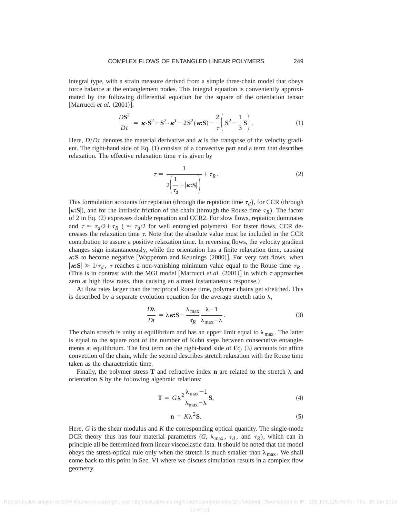integral type, with a strain measure derived from a simple three-chain model that obeys force balance at the entanglement nodes. This integral equation is conveniently approximated by the following differential equation for the square of the orientation tensor [Marrucci *et al.*  $(2001)$ ]:

$$
\frac{DS^2}{Dt} = \kappa \cdot S^2 + S^2 \cdot \kappa^T - 2S^2(\kappa S) - \frac{2}{\tau} \left( S^2 - \frac{1}{3} S \right). \tag{1}
$$

Here,  $D/Dt$  denotes the material derivative and  $\kappa$  is the transpose of the velocity gradient. The right-hand side of Eq.  $(1)$  consists of a convective part and a term that describes relaxation. The effective relaxation time  $\tau$  is given by

$$
\tau = \frac{1}{2\left(\frac{1}{\tau_d} + |\kappa: \mathbf{S}| \right)} + \tau_R.
$$
 (2)

This formulation accounts for reptation (through the reptation time  $\tau_d$ ), for CCR (through  $\kappa$ **:S**), and for the intrinsic friction of the chain (through the Rouse time  $\tau_R$ ). The factor of 2 in Eq.  $(2)$  expresses double reptation and CCR2. For slow flows, reptation dominates and  $\tau \approx \tau_d/2 + \tau_R$  ( $\approx \tau_d/2$  for well entangled polymers). For faster flows, CCR decreases the relaxation time  $\tau$ . Note that the absolute value must be included in the CCR contribution to assure a positive relaxation time. In reversing flows, the velocity gradient changes sign instantaneously, while the orientation has a finite relaxation time, causing  $\kappa$ **:S** to become negative [Wapperom and Keunings (2000)]. For very fast flows, when  $|\kappa S| \gg 1/\tau_d$ ,  $\tau$  reaches a non-vanishing minimum value equal to the Rouse time  $\tau_R$ . (This is in contrast with the MGI model [Marrucci *et al.*  $(2001)$ ] in which  $\tau$  approaches zero at high flow rates, thus causing an almost instantaneous response.)

At flow rates larger than the reciprocal Rouse time, polymer chains get stretched. This is described by a separate evolution equation for the average stretch ratio  $\lambda$ ,

$$
\frac{D\lambda}{Dt} = \lambda \kappa : S - \frac{\lambda_{\text{max}}}{\tau_R} \frac{\lambda - 1}{\lambda_{\text{max}} - \lambda}.
$$
 (3)

The chain stretch is unity at equilibrium and has an upper limit equal to  $\lambda_{\text{max}}$ . The latter is equal to the square root of the number of Kuhn steps between consecutive entanglements at equilibrium. The first term on the right-hand side of Eq.  $(3)$  accounts for affine convection of the chain, while the second describes stretch relaxation with the Rouse time taken as the characteristic time.

Finally, the polymer stress **T** and refractive index **n** are related to the stretch  $\lambda$  and orientation **S** by the following algebraic relations:

$$
\mathbf{T} = G\lambda^2 \frac{\lambda_{\text{max}} - 1}{\lambda_{\text{max}} - \lambda} \mathbf{S},\tag{4}
$$

$$
\mathbf{n} = K\lambda^2 \mathbf{S}.\tag{5}
$$

Here, *G* is the shear modulus and *K* the corresponding optical quantity. The single-mode DCR theory thus has four material parameters  $(G, \lambda_{\text{max}}, \tau_d, \text{ and } \tau_R)$ , which can in principle all be determined from linear viscoelastic data. It should be noted that the model obeys the stress-optical rule only when the stretch is much smaller than  $\lambda_{\text{max}}$ . We shall come back to this point in Sec. VI where we discuss simulation results in a complex flow geometry.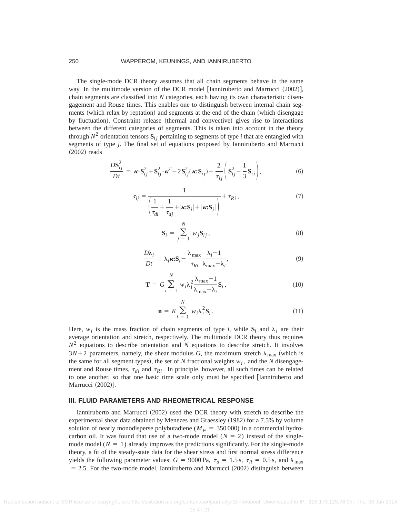#### 250 WAPPEROM, KEUNINGS, AND IANNIRUBERTO

The single-mode DCR theory assumes that all chain segments behave in the same way. In the multimode version of the DCR model  $[$ Ianniruberto and Marrucci  $(2002)$ , chain segments are classified into *N* categories, each having its own characteristic disengagement and Rouse times. This enables one to distinguish between internal chain segments (which relax by reptation) and segments at the end of the chain (which disengage by fluctuation). Constraint release (thermal and convective) gives rise to interactions between the different categories of segments. This is taken into account in the theory through  $N^2$  orientation tensors  $S_{ij}$  pertaining to segments of type *i* that are entangled with segments of type *j*. The final set of equations proposed by Ianniruberto and Marrucci  $(2002)$  reads

$$
\frac{D\mathbf{S}_{ij}^2}{Dt} = \boldsymbol{\kappa} \cdot \mathbf{S}_{ij}^2 + \mathbf{S}_{ij}^2 \cdot \boldsymbol{\kappa}^T - 2\mathbf{S}_{ij}^2(\boldsymbol{\kappa} \cdot \mathbf{S}_{ij}) - \frac{2}{\tau_{ij}} \left( \mathbf{S}_{ij}^2 - \frac{1}{3} \mathbf{S}_{ij} \right),\tag{6}
$$

$$
\tau_{ij} = \frac{1}{\left(\frac{1}{\tau_{di}} + \frac{1}{\tau_{dj}} + |\kappa \cdot \mathbf{S}_i| + |\kappa \cdot \mathbf{S}_j|\right)} + \tau_{Ri},\tag{7}
$$

$$
\mathbf{S}_{i} = \sum_{j=1}^{N} w_{j} \mathbf{S}_{ij},
$$
\n(8)

$$
\frac{D\lambda_i}{Dt} = \lambda_i \kappa S_i - \frac{\lambda_{\text{max}}}{\tau_{Ri}} \frac{\lambda_i - 1}{\lambda_{\text{max}} - \lambda_i},\tag{9}
$$

$$
\mathbf{T} = G \sum_{i=1}^{N} w_i \lambda_i^2 \frac{\lambda_{\text{max}} - 1}{\lambda_{\text{max}} - \lambda_i} \mathbf{S}_i, \qquad (10)
$$

$$
\mathbf{n} = K \sum_{i=1}^{N} w_i \lambda_i^2 \mathbf{S}_i.
$$
 (11)

Here,  $w_i$  is the mass fraction of chain segments of type *i*, while  $S_i$  and  $\lambda_i$  are their average orientation and stretch, respectively. The multimode DCR theory thus requires  $N^2$  equations to describe orientation and *N* equations to describe stretch. It involves  $3N+2$  parameters, namely, the shear modulus *G*, the maximum stretch  $\lambda_{\text{max}}$  (which is the same for all segment types), the set of  $N$  fractional weights  $w_i$ , and the  $N$  disengagement and Rouse times,  $\tau_{di}$  and  $\tau_{Ri}$ . In principle, however, all such times can be related to one another, so that one basic time scale only must be specified [Ianniruberto and Marrucci (2002)].

### **III. FLUID PARAMETERS AND RHEOMETRICAL RESPONSE**

Ianniruberto and Marrucci  $(2002)$  used the DCR theory with stretch to describe the experimental shear data obtained by Menezes and Graessley (1982) for a 7.5% by volume solution of nearly monodisperse polybutadiene ( $M_w = 350,000$ ) in a commercial hydrocarbon oil. It was found that use of a two-mode model  $(N = 2)$  instead of the singlemode model  $(N = 1)$  already improves the predictions significantly. For the single-mode theory, a fit of the steady-state data for the shear stress and first normal stress difference yields the following parameter values:  $G = 9000 \text{ Pa}$ ,  $\tau_d = 1.5 \text{ s}$ ,  $\tau_R = 0.5 \text{ s}$ , and  $\lambda_{\text{max}}$  $= 2.5$ . For the two-mode model, Ianniruberto and Marrucci  $(2002)$  distinguish between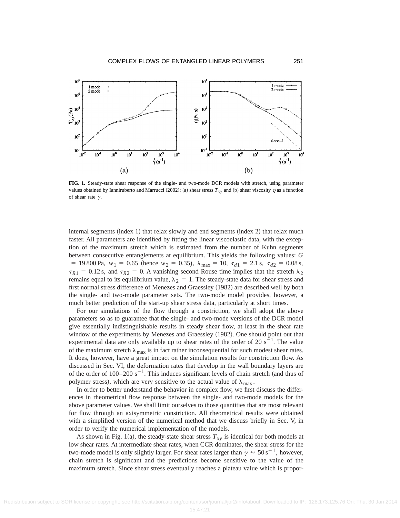

**FIG. 1.** Steady-state shear response of the single- and two-mode DCR models with stretch, using parameter values obtained by Ianniruberto and Marrucci (2002): (a) shear stress  $T_{xy}$  and (b) shear viscosity  $\eta$  as a function of shear rate  $\dot{\gamma}$ .

internal segments (index 1) that relax slowly and end segments (index 2) that relax much faster. All parameters are identified by fitting the linear viscoelastic data, with the exception of the maximum stretch which is estimated from the number of Kuhn segments between consecutive entanglements at equilibrium. This yields the following values: *G*  $= 19800 \text{ Pa}, w_1 = 0.65 \text{ (hence } w_2 = 0.35), \lambda_{\text{max}} = 10, \tau_{d1} = 2.1 \text{ s}, \tau_{d2} = 0.08 \text{ s},$  $\tau_{R1}$  = 0.12 s, and  $\tau_{R2}$  = 0. A vanishing second Rouse time implies that the stretch  $\lambda_2$ remains equal to its equilibrium value,  $\lambda_2 = 1$ . The steady-state data for shear stress and first normal stress difference of Menezes and Graessley (1982) are described well by both the single- and two-mode parameter sets. The two-mode model provides, however, a much better prediction of the start-up shear stress data, particularly at short times.

For our simulations of the flow through a constriction, we shall adopt the above parameters so as to guarantee that the single- and two-mode versions of the DCR model give essentially indistinguishable results in steady shear flow, at least in the shear rate window of the experiments by Menezes and Graessley (1982). One should point out that experimental data are only available up to shear rates of the order of 20  $s^{-1}$ . The value of the maximum stretch  $\lambda_{\text{max}}$  is in fact rather inconsequential for such modest shear rates. It does, however, have a great impact on the simulation results for constriction flow. As discussed in Sec. VI, the deformation rates that develop in the wall boundary layers are of the order of  $100-200 \text{ s}^{-1}$ . This induces significant levels of chain stretch (and thus of polymer stress), which are very sensitive to the actual value of  $\lambda_{\text{max}}$ .

In order to better understand the behavior in complex flow, we first discuss the differences in rheometrical flow response between the single- and two-mode models for the above parameter values. We shall limit ourselves to those quantities that are most relevant for flow through an axisymmetric constriction. All rheometrical results were obtained with a simplified version of the numerical method that we discuss briefly in Sec. V, in order to verify the numerical implementation of the models.

As shown in Fig. 1(a), the steady-state shear stress  $T_{xy}$  is identical for both models at low shear rates. At intermediate shear rates, when CCR dominates, the shear stress for the two-mode model is only slightly larger. For shear rates larger than  $\dot{\gamma} \approx 50 \,\mathrm{s}^{-1}$ , however, chain stretch is significant and the predictions become sensitive to the value of the maximum stretch. Since shear stress eventually reaches a plateau value which is propor-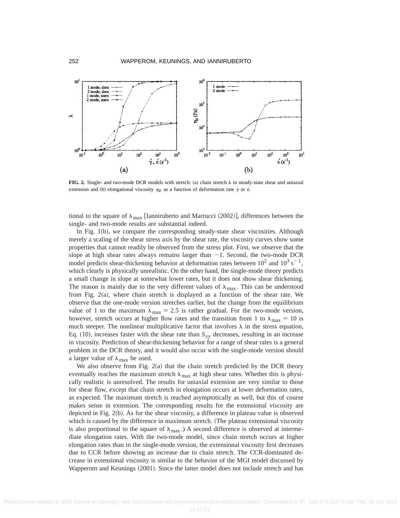

**FIG. 2.** Single- and two-mode DCR models with stretch: (a) chain stretch  $\lambda$  in steady-state shear and uniaxial extension and (b) elongational viscosity  $\eta_E$  as a function of deformation rate  $\dot{\gamma}$  or  $\dot{\epsilon}$ .

tional to the square of  $\lambda_{\text{max}}$  [Ianniruberto and Marrucci (2002)], differences between the single- and two-mode results are substantial indeed.

In Fig.  $1(b)$ , we compare the corresponding steady-state shear viscosities. Although merely a scaling of the shear stress axis by the shear rate, the viscosity curves show some properties that cannot readily be observed from the stress plot. First, we observe that the slope at high shear rates always remains larger than  $-1$ . Second, the two-mode DCR model predicts shear-thickening behavior at deformation rates between  $10^2$  and  $10^3$  s<sup>-1</sup>, which clearly is physically unrealistic. On the other hand, the single-mode theory predicts a small change in slope at somewhat lower rates, but it does not show shear thickening. The reason is mainly due to the very different values of  $\lambda_{\text{max}}$ . This can be understood from Fig.  $2(a)$ , where chain stretch is displayed as a function of the shear rate. We observe that the one-mode version stretches earlier, but the change from the equilibrium value of 1 to the maximum  $\lambda_{\text{max}} = 2.5$  is rather gradual. For the two-mode version, however, stretch occurs at higher flow rates and the transition from 1 to  $\lambda_{\text{max}} = 10$  is much steeper. The nonlinear multiplicative factor that involves  $\lambda$  in the stress equation, Eq.  $(10)$ , increases faster with the shear rate than  $S_{xy}$  decreases, resulting in an increase in viscosity. Prediction of shear-thickening behavior for a range of shear rates is a general problem in the DCR theory, and it would also occur with the single-mode version should a larger value of  $\lambda_{\text{max}}$  be used.

We also observe from Fig.  $2(a)$  that the chain stretch predicted by the DCR theory eventually reaches the maximum stretch  $\lambda_{\text{max}}$  at high shear rates. Whether this is physically realistic is unresolved. The results for uniaxial extension are very similar to those for shear flow, except that chain stretch in elongation occurs at lower deformation rates, as expected. The maximum stretch is reached asymptotically as well, but this of course makes sense in extension. The corresponding results for the extensional viscosity are depicted in Fig.  $2(b)$ . As for the shear viscosity, a difference in plateau value is observed which is caused by the difference in maximum stretch. (The plateau extensional viscosity is also proportional to the square of  $\lambda_{\text{max}}$ .) A second difference is observed at intermediate elongation rates. With the two-mode model, since chain stretch occurs at higher elongation rates than in the single-mode version, the extensional viscosity first decreases due to CCR before showing an increase due to chain stretch. The CCR-dominated decrease in extensional viscosity is similar to the behavior of the MGI model discussed by Wapperom and Keunings (2001). Since the latter model does not include stretch and has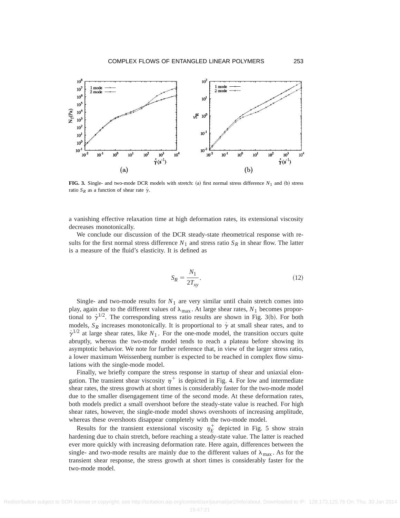

**FIG. 3.** Single- and two-mode DCR models with stretch: (a) first normal stress difference  $N_1$  and (b) stress ratio  $S_R$  as a function of shear rate  $\dot{\gamma}$ .

a vanishing effective relaxation time at high deformation rates, its extensional viscosity decreases monotonically.

We conclude our discussion of the DCR steady-state rheometrical response with results for the first normal stress difference  $N_1$  and stress ratio  $S_R$  in shear flow. The latter is a measure of the fluid's elasticity. It is defined as

$$
S_R = \frac{N_1}{2T_{xy}}.\tag{12}
$$

Single- and two-mode results for  $N_1$  are very similar until chain stretch comes into play, again due to the different values of  $\lambda_{\text{max}}$ . At large shear rates,  $N_1$  becomes proportional to  $\dot{\gamma}^{1/2}$ . The corresponding stress ratio results are shown in Fig. 3(b). For both models,  $S_R$  increases monotonically. It is proportional to  $\gamma$  at small shear rates, and to  $\dot{\gamma}^{1/2}$  at large shear rates, like  $N_1$ . For the one-mode model, the transition occurs quite abruptly, whereas the two-mode model tends to reach a plateau before showing its asymptotic behavior. We note for further reference that, in view of the larger stress ratio, a lower maximum Weissenberg number is expected to be reached in complex flow simulations with the single-mode model.

Finally, we briefly compare the stress response in startup of shear and uniaxial elongation. The transient shear viscosity  $\eta^+$  is depicted in Fig. 4. For low and intermediate shear rates, the stress growth at short times is considerably faster for the two-mode model due to the smaller disengagement time of the second mode. At these deformation rates, both models predict a small overshoot before the steady-state value is reached. For high shear rates, however, the single-mode model shows overshoots of increasing amplitude, whereas these overshoots disappear completely with the two-mode model.

Results for the transient extensional viscosity  $\eta_E^+$  depicted in Fig. 5 show strain hardening due to chain stretch, before reaching a steady-state value. The latter is reached ever more quickly with increasing deformation rate. Here again, differences between the single- and two-mode results are mainly due to the different values of  $\lambda_{\text{max}}$ . As for the transient shear response, the stress growth at short times is considerably faster for the two-mode model.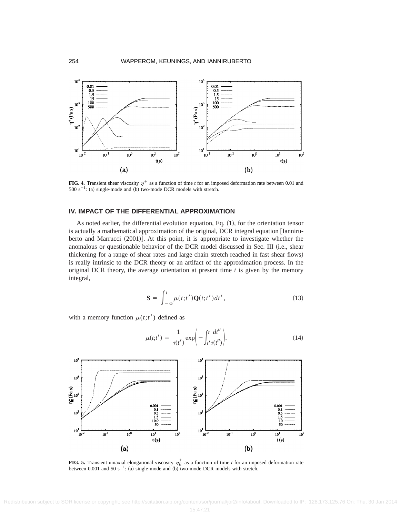

**FIG. 4.** Transient shear viscosity  $\eta^+$  as a function of time *t* for an imposed deformation rate between 0.01 and  $500 \text{ s}^{-1}$ : (a) single-mode and (b) two-mode DCR models with stretch.

## **IV. IMPACT OF THE DIFFERENTIAL APPROXIMATION**

As noted earlier, the differential evolution equation, Eq.  $(1)$ , for the orientation tensor is actually a mathematical approximation of the original, DCR integral equation  $\lceil$ Ianniruberto and Marrucci  $(2001)$ . At this point, it is appropriate to investigate whether the anomalous or questionable behavior of the DCR model discussed in Sec. III (i.e., shear thickening for a range of shear rates and large chain stretch reached in fast shear flows! is really intrinsic to the DCR theory or an artifact of the approximation process. In the original DCR theory, the average orientation at present time  $t$  is given by the memory integral,

$$
\mathbf{S} = \int_{-\infty}^{t} \mu(t; t') \mathbf{Q}(t; t') dt', \qquad (13)
$$

with a memory function  $\mu(t; t')$  defined as

$$
\mu(t;t') = \frac{1}{\tau(t')} \exp\left(-\int_{t'}^t \frac{dt''}{\tau(t'')} \right).
$$
\n(14)



**FIG. 5.** Transient uniaxial elongational viscosity  $\eta_E^+$  as a function of time *t* for an imposed deformation rate between 0.001 and 50  $s^{-1}$ : (a) single-mode and (b) two-mode DCR models with stretch.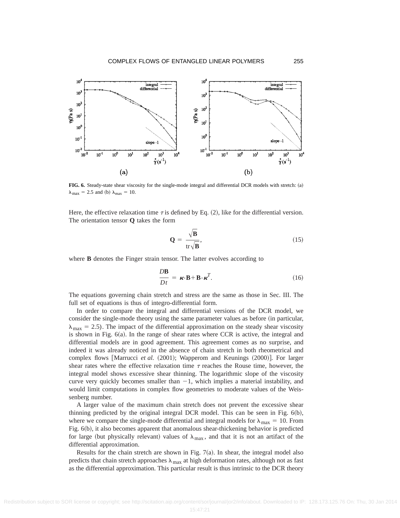

**FIG. 6.** Steady-state shear viscosity for the single-mode integral and differential DCR models with stretch: (a)  $\lambda_{\text{max}} = 2.5$  and (b)  $\lambda_{\text{max}} = 10$ .

Here, the effective relaxation time  $\tau$  is defined by Eq. (2), like for the differential version. The orientation tensor **Q** takes the form

$$
\mathbf{Q} = \frac{\sqrt{\mathbf{B}}}{\text{tr}\sqrt{\mathbf{B}}},\tag{15}
$$

where **B** denotes the Finger strain tensor. The latter evolves according to

$$
\frac{D\mathbf{B}}{Dt} = \boldsymbol{\kappa} \cdot \mathbf{B} + \mathbf{B} \cdot \boldsymbol{\kappa}^T.
$$
 (16)

The equations governing chain stretch and stress are the same as those in Sec. III. The full set of equations is thus of integro-differential form.

In order to compare the integral and differential versions of the DCR model, we consider the single-mode theory using the same parameter values as before (in particular,  $\lambda_{\text{max}} = 2.5$ ). The impact of the differential approximation on the steady shear viscosity is shown in Fig.  $6(a)$ . In the range of shear rates where CCR is active, the integral and differential models are in good agreement. This agreement comes as no surprise, and indeed it was already noticed in the absence of chain stretch in both rheometrical and complex flows [Marrucci *et al.* (2001); Wapperom and Keunings (2000)]. For larger shear rates where the effective relaxation time  $\tau$  reaches the Rouse time, however, the integral model shows excessive shear thinning. The logarithmic slope of the viscosity curve very quickly becomes smaller than  $-1$ , which implies a material instability, and would limit computations in complex flow geometries to moderate values of the Weissenberg number.

A larger value of the maximum chain stretch does not prevent the excessive shear thinning predicted by the original integral DCR model. This can be seen in Fig.  $6(b)$ , where we compare the single-mode differential and integral models for  $\lambda_{\text{max}} = 10$ . From Fig. 6(b), it also becomes apparent that anomalous shear-thickening behavior is predicted for large (but physically relevant) values of  $\lambda_{\text{max}}$ , and that it is not an artifact of the differential approximation.

Results for the chain stretch are shown in Fig.  $7(a)$ . In shear, the integral model also predicts that chain stretch approaches  $\lambda_{\text{max}}$  at high deformation rates, although not as fast as the differential approximation. This particular result is thus intrinsic to the DCR theory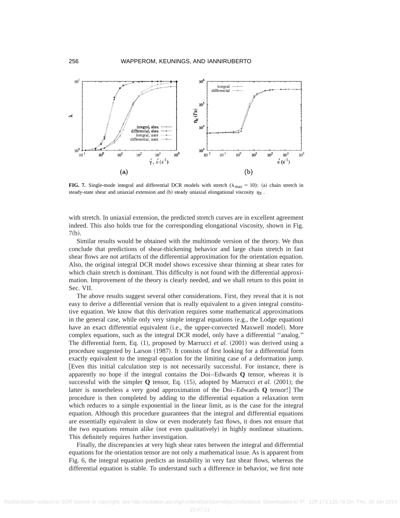

**FIG. 7.** Single-mode integral and differential DCR models with stretch ( $\lambda_{\text{max}} = 10$ ): (a) chain stretch in steady-state shear and uniaxial extension and (b) steady uniaxial elongational viscosity  $\eta_F$ .

with stretch. In uniaxial extension, the predicted stretch curves are in excellent agreement indeed. This also holds true for the corresponding elongational viscosity, shown in Fig.  $7(b).$ 

Similar results would be obtained with the multimode version of the theory. We thus conclude that predictions of shear-thickening behavior and large chain stretch in fast shear flows are not artifacts of the differential approximation for the orientation equation. Also, the original integral DCR model shows excessive shear thinning at shear rates for which chain stretch is dominant. This difficulty is not found with the differential approximation. Improvement of the theory is clearly needed, and we shall return to this point in Sec. VII.

The above results suggest several other considerations. First, they reveal that it is not easy to derive a differential version that is really equivalent to a given integral constitutive equation. We know that this derivation requires some mathematical approximations in the general case, while only very simple integral equations  $(e.g., the Lodge equation)$ have an exact differential equivalent (i.e., the upper-convected Maxwell model). More complex equations, such as the integral DCR model, only have a differential ''analog.'' The differential form, Eq.  $(1)$ , proposed by Marrucci *et al.*  $(2001)$  was derived using a procedure suggested by Larson (1987). It consists of first looking for a differential form exactly equivalent to the integral equation for the limiting case of a deformation jump. [Even this initial calculation step is not necessarily successful. For instance, there is apparently no hope if the integral contains the Doi–Edwards **Q** tensor, whereas it is successful with the simpler  $Q$  tensor, Eq.  $(15)$ , adopted by Marrucci *et al.*  $(2001)$ ; the latter is nonetheless a very good approximation of the  $Doi$ –Edwards **Q** tensor! The procedure is then completed by adding to the differential equation a relaxation term which reduces to a simple exponential in the linear limit, as is the case for the integral equation. Although this procedure guarantees that the integral and differential equations are essentially equivalent in slow or even moderately fast flows, it does not ensure that the two equations remain alike  $(not even qualitatively)$  in highly nonlinear situations. This definitely requires further investigation.

Finally, the discrepancies at very high shear rates between the integral and differential equations for the orientation tensor are not only a mathematical issue. As is apparent from Fig. 6, the integral equation predicts an instability in very fast shear flows, whereas the differential equation is stable. To understand such a difference in behavior, we first note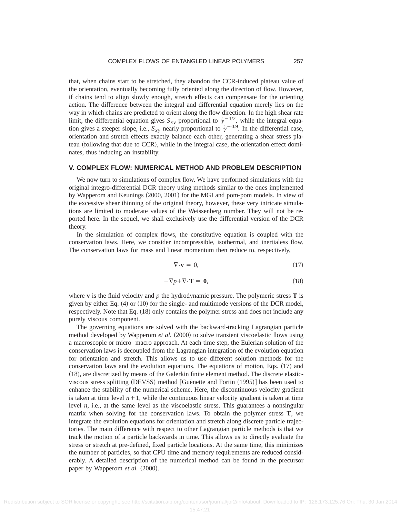that, when chains start to be stretched, they abandon the CCR-induced plateau value of the orientation, eventually becoming fully oriented along the direction of flow. However, if chains tend to align slowly enough, stretch effects can compensate for the orienting action. The difference between the integral and differential equation merely lies on the way in which chains are predicted to orient along the flow direction. In the high shear rate limit, the differential equation gives  $S_{xy}$  proportional to  $\gamma^{-1/2}$ , while the integral equation gives a steeper slope, i.e.,  $S_{xy}$  nearly proportional to  $\gamma^{-0.9}$ . In the differential case, orientation and stretch effects exactly balance each other, generating a shear stress plateau (following that due to CCR), while in the integral case, the orientation effect dominates, thus inducing an instability.

#### **V. COMPLEX FLOW: NUMERICAL METHOD AND PROBLEM DESCRIPTION**

We now turn to simulations of complex flow. We have performed simulations with the original integro-differential DCR theory using methods similar to the ones implemented by Wapperom and Keunings  $(2000, 2001)$  for the MGI and pom-pom models. In view of the excessive shear thinning of the original theory, however, these very intricate simulations are limited to moderate values of the Weissenberg number. They will not be reported here. In the sequel, we shall exclusively use the differential version of the DCR theory.

In the simulation of complex flows, the constitutive equation is coupled with the conservation laws. Here, we consider incompressible, isothermal, and inertialess flow. The conservation laws for mass and linear momentum then reduce to, respectively,

$$
\nabla \cdot \mathbf{v} = 0,\tag{17}
$$

$$
-\nabla p + \nabla \cdot \mathbf{T} = \mathbf{0},\tag{18}
$$

where **v** is the fluid velocity and  $p$  the hydrodynamic pressure. The polymeric stress **T** is given by either Eq.  $(4)$  or  $(10)$  for the single- and multimode versions of the DCR model, respectively. Note that Eq.  $(18)$  only contains the polymer stress and does not include any purely viscous component.

The governing equations are solved with the backward-tracking Lagrangian particle method developed by Wapperom *et al.* (2000) to solve transient viscoelastic flows using a macroscopic or micro–macro approach. At each time step, the Eulerian solution of the conservation laws is decoupled from the Lagrangian integration of the evolution equation for orientation and stretch. This allows us to use different solution methods for the conservation laws and the evolution equations. The equations of motion, Eqs.  $(17)$  and  $(18)$ , are discretized by means of the Galerkin finite element method. The discrete elasticviscous stress splitting  $(DEVSS)$  method  $[G$ uénette and Fortin  $(1995)]$  has been used to enhance the stability of the numerical scheme. Here, the discontinuous velocity gradient is taken at time level  $n+1$ , while the continuous linear velocity gradient is taken at time level *n*, i.e., at the same level as the viscoelastic stress. This guarantees a nonsingular matrix when solving for the conservation laws. To obtain the polymer stress **T**, we integrate the evolution equations for orientation and stretch along discrete particle trajectories. The main difference with respect to other Lagrangian particle methods is that we track the motion of a particle backwards in time. This allows us to directly evaluate the stress or stretch at pre-defined, fixed particle locations. At the same time, this minimizes the number of particles, so that CPU time and memory requirements are reduced considerably. A detailed description of the numerical method can be found in the precursor paper by Wapperom *et al.* (2000).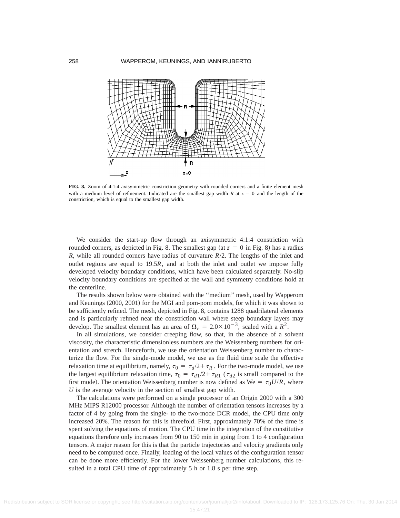

**FIG. 8.** Zoom of 4:1:4 axisymmetric constriction geometry with rounded corners and a finite element mesh with a medium level of refinement. Indicated are the smallest gap width *R* at  $z = 0$  and the length of the constriction, which is equal to the smallest gap width.

We consider the start-up flow through an axisymmetric 4:1:4 constriction with rounded corners, as depicted in Fig. 8. The smallest gap (at  $z = 0$  in Fig. 8) has a radius *R*, while all rounded corners have radius of curvature *R*/2. The lengths of the inlet and outlet regions are equal to 19.5*R*, and at both the inlet and outlet we impose fully developed velocity boundary conditions, which have been calculated separately. No-slip velocity boundary conditions are specified at the wall and symmetry conditions hold at the centerline.

The results shown below were obtained with the ''medium'' mesh, used by Wapperom and Keunings (2000, 2001) for the MGI and pom-pom models, for which it was shown to be sufficiently refined. The mesh, depicted in Fig. 8, contains 1288 quadrilateral elements and is particularly refined near the constriction wall where steep boundary layers may develop. The smallest element has an area of  $\Omega_e = 2.0 \times 10^{-3}$ , scaled with a  $R^2$ .

In all simulations, we consider creeping flow, so that, in the absence of a solvent viscosity, the characteristic dimensionless numbers are the Weissenberg numbers for orientation and stretch. Henceforth, we use the orientation Weissenberg number to characterize the flow. For the single-mode model, we use as the fluid time scale the effective relaxation time at equilibrium, namely,  $\tau_0 = \tau_d/2 + \tau_R$ . For the two-mode model, we use the largest equilibrium relaxation time,  $\tau_0 = \tau_{d1}/2 + \tau_{R1}$  ( $\tau_{d2}$  is small compared to the first mode). The orientation Weissenberg number is now defined as We =  $\tau_0 U/R$ , where *U* is the average velocity in the section of smallest gap width.

The calculations were performed on a single processor of an Origin 2000 with a 300 MHz MIPS R12000 processor. Although the number of orientation tensors increases by a factor of 4 by going from the single- to the two-mode DCR model, the CPU time only increased 20%. The reason for this is threefold. First, approximately 70% of the time is spent solving the equations of motion. The CPU time in the integration of the constitutive equations therefore only increases from 90 to 150 min in going from 1 to 4 configuration tensors. A major reason for this is that the particle trajectories and velocity gradients only need to be computed once. Finally, loading of the local values of the configuration tensor can be done more efficiently. For the lower Weissenberg number calculations, this resulted in a total CPU time of approximately 5 h or 1.8 s per time step.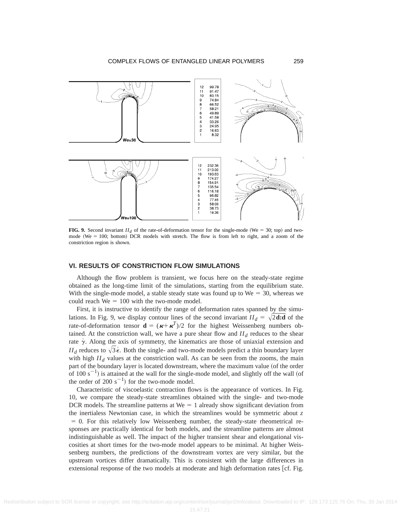

**FIG. 9.** Second invariant  $II_d$  of the rate-of-deformation tensor for the single-mode (We = 30; top) and twomode ( $We = 100$ ; bottom) DCR models with stretch. The flow is from left to right, and a zoom of the constriction region is shown.

# **VI. RESULTS OF CONSTRICTION FLOW SIMULATIONS**

Although the flow problem is transient, we focus here on the steady-state regime obtained as the long-time limit of the simulations, starting from the equilibrium state. With the single-mode model, a stable steady state was found up to  $We = 30$ , whereas we could reach  $We = 100$  with the two-mode model.

First, it is instructive to identify the range of deformation rates spanned by the simulations. In Fig. 9, we display contour lines of the second invariant  $II_d = \sqrt{2} \textbf{d} \cdot \textbf{d}$  of the rate-of-deformation tensor  $\mathbf{d} = (\kappa + \kappa^T)/2$  for the highest Weissenberg numbers obtained. At the constriction wall, we have a pure shear flow and  $II_d$  reduces to the shear rate  $\dot{\gamma}$ . Along the axis of symmetry, the kinematics are those of uniaxial extension and *II<sub>d</sub>* reduces to  $\sqrt{3}\epsilon$ . Both the single- and two-mode models predict a thin boundary layer with high  $II_d$  values at the constriction wall. As can be seen from the zooms, the main part of the boundary layer is located downstream, where the maximum value (of the order of 100 s<sup>-1</sup>) is attained at the wall for the single-mode model, and slightly off the wall (of the order of 200  $s^{-1}$ ) for the two-mode model.

Characteristic of viscoelastic contraction flows is the appearance of vortices. In Fig. 10, we compare the steady-state streamlines obtained with the single- and two-mode DCR models. The streamline patterns at  $We = 1$  already show significant deviation from the inertialess Newtonian case, in which the streamlines would be symmetric about *z*  $= 0$ . For this relatively low Weissenberg number, the steady-state rheometrical responses are practically identical for both models, and the streamline patterns are almost indistinguishable as well. The impact of the higher transient shear and elongational viscosities at short times for the two-mode model appears to be minimal. At higher Weissenberg numbers, the predictions of the downstream vortex are very similar, but the upstream vortices differ dramatically. This is consistent with the large differences in extensional response of the two models at moderate and high deformation rates [cf. Fig.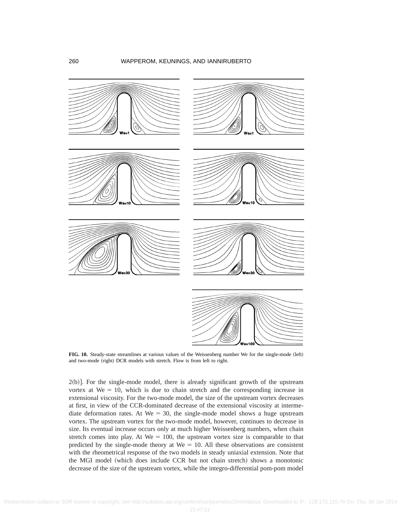

**FIG. 10.** Steady-state streamlines at various values of the Weissenberg number We for the single-mode (left) and two-mode (right) DCR models with stretch. Flow is from left to right.

 $2(b)$ . For the single-mode model, there is already significant growth of the upstream vortex at  $We = 10$ , which is due to chain stretch and the corresponding increase in extensional viscosity. For the two-mode model, the size of the upstream vortex decreases at first, in view of the CCR-dominated decrease of the extensional viscosity at intermediate deformation rates. At We = 30, the single-mode model shows a huge upstream vortex. The upstream vortex for the two-mode model, however, continues to decrease in size. Its eventual increase occurs only at much higher Weissenberg numbers, when chain stretch comes into play. At  $We = 100$ , the upstream vortex size is comparable to that predicted by the single-mode theory at  $We = 10$ . All these observations are consistent with the rheometrical response of the two models in steady uniaxial extension. Note that the MGI model (which does include CCR but not chain stretch) shows a monotonic decrease of the size of the upstream vortex, while the integro-differential pom-pom model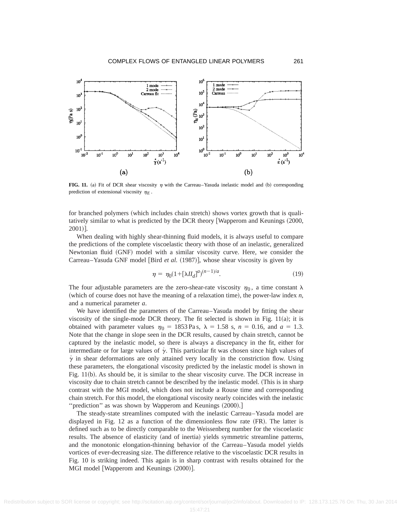

**FIG. 11.** (a) Fit of DCR shear viscosity  $\eta$  with the Carreau–Yasuda inelastic model and (b) corresponding prediction of extensional viscosity  $\eta_F$ .

for branched polymers (which includes chain stretch) shows vortex growth that is qualitatively similar to what is predicted by the DCR theory [Wapperom and Keunings (2000,  $2001$ .

When dealing with highly shear-thinning fluid models, it is always useful to compare the predictions of the complete viscoelastic theory with those of an inelastic, generalized Newtonian fluid (GNF) model with a similar viscosity curve. Here, we consider the Carreau–Yasuda GNF model [Bird *et al.* (1987)], whose shear viscosity is given by

$$
\eta = \eta_0 (1 + [\lambda H_d]^a)^{(n-1)/a}.
$$
\n(19)

The four adjustable parameters are the zero-shear-rate viscosity  $\eta_0$ , a time constant  $\lambda$ (which of course does not have the meaning of a relaxation time), the power-law index  $n$ , and a numerical parameter *a*.

We have identified the parameters of the Carreau–Yasuda model by fitting the shear viscosity of the single-mode DCR theory. The fit selected is shown in Fig.  $11(a)$ ; it is obtained with parameter values  $\eta_0 = 1853 \text{ Pa s}$ ,  $\lambda = 1.58 \text{ s}$ ,  $n = 0.16$ , and  $a = 1.3$ . Note that the change in slope seen in the DCR results, caused by chain stretch, cannot be captured by the inelastic model, so there is always a discrepancy in the fit, either for intermediate or for large values of  $\gamma$ . This particular fit was chosen since high values of  $\gamma$  in shear deformations are only attained very locally in the constriction flow. Using these parameters, the elongational viscosity predicted by the inelastic model is shown in Fig.  $11(b)$ . As should be, it is similar to the shear viscosity curve. The DCR increase in viscosity due to chain stretch cannot be described by the inelastic model. (This is in sharp contrast with the MGI model, which does not include a Rouse time and corresponding chain stretch. For this model, the elongational viscosity nearly coincides with the inelastic "prediction" as was shown by Wapperom and Keunings  $(2000).$ ]

The steady-state streamlines computed with the inelastic Carreau–Yasuda model are displayed in Fig. 12 as a function of the dimensionless flow rate  $(FR)$ . The latter is defined such as to be directly comparable to the Weissenberg number for the viscoelastic results. The absence of elasticity (and of inertia) yields symmetric streamline patterns, and the monotonic elongation-thinning behavior of the Carreau–Yasuda model yields vortices of ever-decreasing size. The difference relative to the viscoelastic DCR results in Fig. 10 is striking indeed. This again is in sharp contrast with results obtained for the MGI model [Wapperom and Keunings (2000)].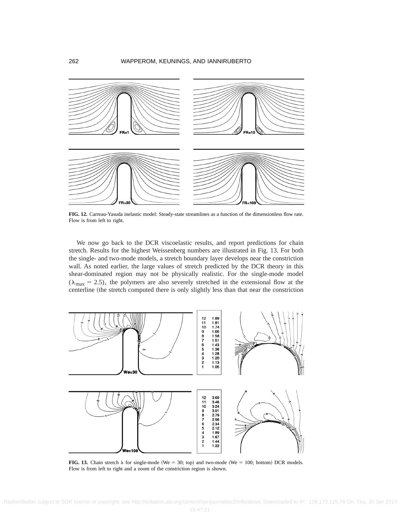

**FIG. 12.** Carreau-Yasuda inelastic model: Steady-state streamlines as a function of the dimensionless flow rate. Flow is from left to right.

We now go back to the DCR viscoelastic results, and report predictions for chain stretch. Results for the highest Weissenberg numbers are illustrated in Fig. 13. For both the single- and two-mode models, a stretch boundary layer develops near the constriction wall. As noted earlier, the large values of stretch predicted by the DCR theory in this shear-dominated region may not be physically realistic. For the single-mode model  $(\lambda_{\text{max}} = 2.5)$ , the polymers are also severely stretched in the extensional flow at the centerline (the stretch computed there is only slightly less than that near the constriction



**FIG. 13.** Chain stretch  $\lambda$  for single-mode (We = 30; top) and two-mode (We = 100; bottom) DCR models. Flow is from left to right and a zoom of the constriction region is shown.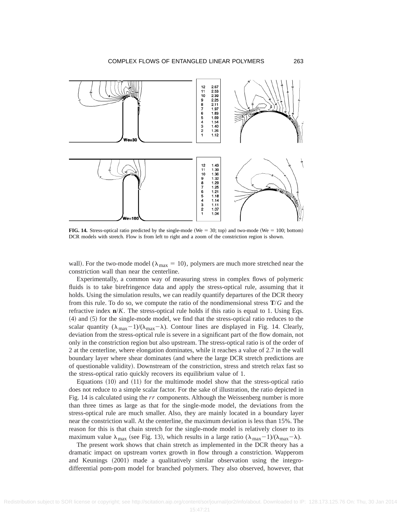

**FIG. 14.** Stress-optical ratio predicted by the single-mode (We = 30; top) and two-mode (We = 100; bottom) DCR models with stretch. Flow is from left to right and a zoom of the constriction region is shown.

wall). For the two-mode model ( $\lambda_{\text{max}} = 10$ ), polymers are much more stretched near the constriction wall than near the centerline.

Experimentally, a common way of measuring stress in complex flows of polymeric fluids is to take birefringence data and apply the stress-optical rule, assuming that it holds. Using the simulation results, we can readily quantify departures of the DCR theory from this rule. To do so, we compute the ratio of the nondimensional stress **T**/*G* and the refractive index **n**/*K*. The stress-optical rule holds if this ratio is equal to 1. Using Eqs.  $(4)$  and  $(5)$  for the single-mode model, we find that the stress-optical ratio reduces to the scalar quantity  $(\lambda_{\text{max}}-1)/(\lambda_{\text{max}}-\lambda)$ . Contour lines are displayed in Fig. 14. Clearly, deviation from the stress-optical rule is severe in a significant part of the flow domain, not only in the constriction region but also upstream. The stress-optical ratio is of the order of 2 at the centerline, where elongation dominates, while it reaches a value of 2.7 in the wall boundary layer where shear dominates (and where the large DCR stretch predictions are of questionable validity). Downstream of the constriction, stress and stretch relax fast so the stress-optical ratio quickly recovers its equilibrium value of 1.

Equations  $(10)$  and  $(11)$  for the multimode model show that the stress-optical ratio does not reduce to a simple scalar factor. For the sake of illustration, the ratio depicted in Fig. 14 is calculated using the *rr* components. Although the Weissenberg number is more than three times as large as that for the single-mode model, the deviations from the stress-optical rule are much smaller. Also, they are mainly located in a boundary layer near the constriction wall. At the centerline, the maximum deviation is less than 15%. The reason for this is that chain stretch for the single-mode model is relatively closer to its maximum value  $\lambda_{\text{max}}$  (see Fig. 13), which results in a large ratio  $(\lambda_{\text{max}}-1)/(\lambda_{\text{max}}-\lambda)$ .

The present work shows that chain stretch as implemented in the DCR theory has a dramatic impact on upstream vortex growth in flow through a constriction. Wapperom and Keunings  $(2001)$  made a qualitatively similar observation using the integrodifferential pom-pom model for branched polymers. They also observed, however, that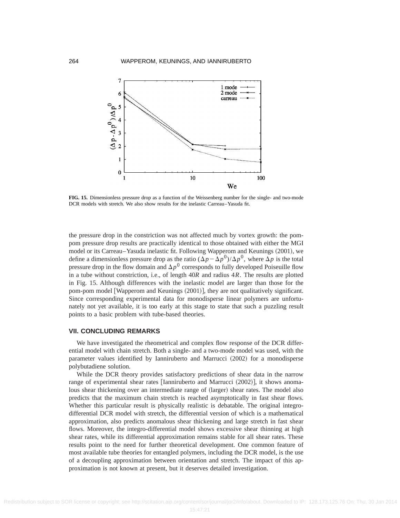

**FIG. 15.** Dimensionless pressure drop as a function of the Weissenberg number for the single- and two-mode DCR models with stretch. We also show results for the inelastic Carreau–Yasuda fit.

the pressure drop in the constriction was not affected much by vortex growth: the pompom pressure drop results are practically identical to those obtained with either the MGI model or its Carreau–Yasuda inelastic fit. Following Wapperom and Keunings (2001), we define a dimensionless pressure drop as the ratio  $(\Delta p - \Delta p^0)/\Delta p^0$ , where  $\Delta p$  is the total pressure drop in the flow domain and  $\Delta p^0$  corresponds to fully developed Poiseuille flow in a tube without constriction, i.e., of length 40*R* and radius 4*R*. The results are plotted in Fig. 15. Although differences with the inelastic model are larger than those for the pom-pom model [Wapperom and Keunings (2001)], they are not qualitatively significant. Since corresponding experimental data for monodisperse linear polymers are unfortunately not yet available, it is too early at this stage to state that such a puzzling result points to a basic problem with tube-based theories.

#### **VII. CONCLUDING REMARKS**

We have investigated the rheometrical and complex flow response of the DCR differential model with chain stretch. Both a single- and a two-mode model was used, with the parameter values identified by Ianniruberto and Marrucci (2002) for a monodisperse polybutadiene solution.

While the DCR theory provides satisfactory predictions of shear data in the narrow range of experimental shear rates  $\lceil$ Ianniruberto and Marrucci  $(2002)$ , it shows anomalous shear thickening over an intermediate range of (larger) shear rates. The model also predicts that the maximum chain stretch is reached asymptotically in fast shear flows. Whether this particular result is physically realistic is debatable. The original integrodifferential DCR model with stretch, the differential version of which is a mathematical approximation, also predicts anomalous shear thickening and large stretch in fast shear flows. Moreover, the integro-differential model shows excessive shear thinning at high shear rates, while its differential approximation remains stable for all shear rates. These results point to the need for further theoretical development. One common feature of most available tube theories for entangled polymers, including the DCR model, is the use of a decoupling approximation between orientation and stretch. The impact of this approximation is not known at present, but it deserves detailed investigation.